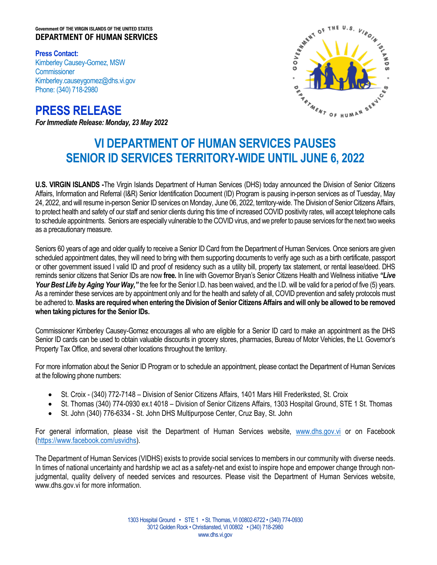## **Government OF THE VIRGIN ISLANDS OF THE UNITED STATES DEPARTMENT OF HUMAN SERVICES**

**Press Contact:** Kimberley Causey-Gomez, MSW **Commissioner** Kimberley.causeygomez@dhs.vi.gov Phone: (340) 718-2980

**PRESS RELEASE**  *For Immediate Release: Monday, 23 May 2022*



## **VI DEPARTMENT OF HUMAN SERVICES PAUSES SENIOR ID SERVICES TERRITORY-WIDE UNTIL JUNE 6, 2022**

**U.S. VIRGIN ISLANDS -**The Virgin Islands Department of Human Services (DHS) today announced the Division of Senior Citizens Affairs, Information and Referral (I&R) Senior Identification Document (ID) Program is pausing in-person services as of Tuesday, May 24, 2022, and will resume in-person Senior ID services on Monday, June 06, 2022, territory-wide. The Division of Senior Citizens Affairs, to protect health and safety of our staff and senior clients during this time of increased COVID positivity rates, will accept telephone calls to schedule appointments. Seniors are especially vulnerable to the COVID virus, and we prefer to pause services for the next two weeks as a precautionary measure.

Seniors 60 years of age and older qualify to receive a Senior ID Card from the Department of Human Services. Once seniors are given scheduled appointment dates, they will need to bring with them supporting documents to verify age such as a birth certificate, passport or other government issued l valid ID and proof of residency such as a utility bill, property tax statement, or rental lease/deed. DHS reminds senior citizens that Senior IDs are now **free.** In line with Governor Bryan's Senior Citizens Health and Wellness initiative *"Live*  Your Best Life by Aging Your Way," the fee for the Senior I.D. has been waived, and the I.D. will be valid for a period of five (5) years. As a reminder these services are by appointment only and for the health and safety of all, COVID prevention and safety protocols must be adhered to.**Masks are required when entering the Division of Senior Citizens Affairs and will only be allowed to be removed when taking pictures for the Senior IDs.** 

Commissioner Kimberley Causey-Gomez encourages all who are eligible for a Senior ID card to make an appointment as the DHS Senior ID cards can be used to obtain valuable discounts in grocery stores, pharmacies, Bureau of Motor Vehicles, the Lt. Governor's Property Tax Office, and several other locations throughout the territory.

For more information about the Senior ID Program or to schedule an appointment, please contact the Department of Human Services at the following phone numbers:

- St. Croix (340) 772-7148 Division of Senior Citizens Affairs, 1401 Mars Hill Frederiksted, St. Croix
- St. Thomas (340) 774-0930 ex.t 4018 Division of Senior Citizens Affairs, 1303 Hospital Ground, STE 1 St. Thomas
- St. John (340) 776-6334 St. John DHS Multipurpose Center, Cruz Bay, St. John

For general information, please visit the Department of Human Services website, [www.dhs.gov.vi](http://www.dhs.gov.vi/) or on Facebook [\(https://www.facebook.com/usvidhs\)](https://www.facebook.com/usvidhs).

The Department of Human Services (VIDHS) exists to provide social services to members in our community with diverse needs. In times of national uncertainty and hardship we act as a safety-net and exist to inspire hope and empower change through nonjudgmental, quality delivery of needed services and resources. Please visit the Department of Human Services website, www.dhs.gov.vi for more information.